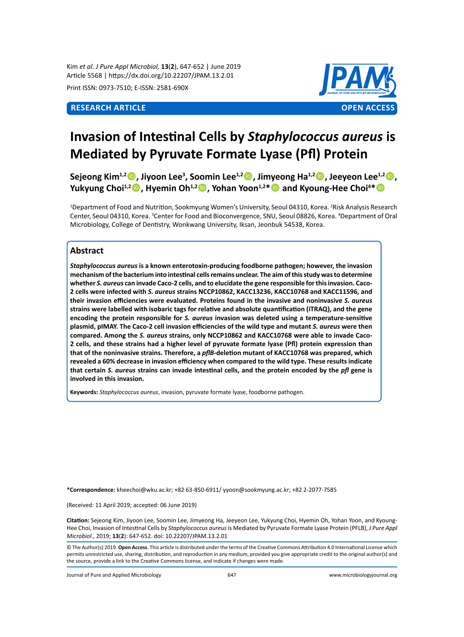Kim *et al. J Pure Appl Microbiol,* **13**(**2**), 647-652 | June 2019 Article 5568 | https://dx.doi.org/10.22207/JPAM.13.2.01

Print ISSN: 0973-7510; E-ISSN: 2581-690X



# **Invasion of Intestinal Cells by** *Staphylococcus aureus* **is Mediated by Pyruvate Formate Lyase (Pfl) Protein**

**Sejeong Kim1,2, Jiyoon Lee<sup>3</sup> , Soomin Lee1,2, Jimyeong Ha1,2, Jeeyeon Lee1,2, Yukyung Choi1,2, Hyemin Oh1,2, Yohan Yoon1,2\* and Kyoung-Hee Choi<sup>4</sup> \***

<sup>1</sup>Department of Food and Nutrition, Sookmyung Women's University, Seoul 04310, Korea. <sup>2</sup>Risk Analysis Research Center, Seoul 04310, Korea. <sup>3</sup>Center for Food and Bioconvergence, SNU, Seoul 08826, Korea. <sup>4</sup>Department of Oral Microbiology, College of Dentistry, Wonkwang University, Iksan, Jeonbuk 54538, Korea.

# **Abstract**

*Staphylococcus aureus* **is a known enterotoxin-producing foodborne pathogen; however, the invasion mechanism of the bacterium into intestinal cells remains unclear. The aim of this study was to determine whether** *S. aureus* **can invade Caco-2 cells, and to elucidate the gene responsible for this invasion. Caco-2 cells were infected with** *S. aureus* **strains NCCP10862, KACC13236, KACC10768 and KACC11596, and their invasion efficiencies were evaluated. Proteins found in the invasive and noninvasive** *S. aureus* **strains were labelled with isobaric tags for relative and absolute quantification (iTRAQ), and the gene encoding the protein responsible for** *S. aureus* **invasion was deleted using a temperature-sensitive plasmid, pIMAY. The Caco-2 cell invasion efficiencies of the wild type and mutant** *S. aureus* **were then compared. Among the** *S. aureus* **strains, only NCCP10862 and KACC10768 were able to invade Caco-2 cells, and these strains had a higher level of pyruvate formate lyase (Pfl) protein expression than that of the noninvasive strains. Therefore, a** *pflB-***deletion mutant of KACC10768 was prepared, which revealed a 60% decrease in invasion efficiency when compared to the wild type. These results indicate that certain** *S. aureus* **strains can invade intestinal cells, and the protein encoded by the** *pfl* **gene is involved in this invasion.**

**Keywords:** *Staphylococcus aureus*, invasion, pyruvate formate lyase, foodborne pathogen.

**\*Correspondence:** kheechoi@wku.ac.kr; +82 63-850-6911/ yyoon@sookmyung.ac.kr; +82 2-2077-7585

(Received: 11 April 2019; accepted: 06 June 2019)

**Citation:** Sejeong Kim, Jiyoon Lee, Soomin Lee, Jimyeong Ha, Jeeyeon Lee, Yukyung Choi, Hyemin Oh, Yohan Yoon, and Kyoung-Hee Choi, Invasion of Intestinal Cells by *Staphylococcus aureus* is Mediated by Pyruvate Formate Lyase Protein (PFLB), *J Pure Appl Microbiol*., 2019; **13**(**2**): 647-652. doi: 10.22207/JPAM.13.2.01

© The Author(s) 2019. **Open Access**. This article is distributed under the terms of the Creative Commons Attribution 4.0 International License which permits unrestricted use, sharing, distribution, and reproduction in any medium, provided you give appropriate credit to the original author(s) and the source, provide a link to the Creative Commons license, and indicate if changes were made.

Journal of Pure and Applied Microbiology 647 www.microbiologyjournal.org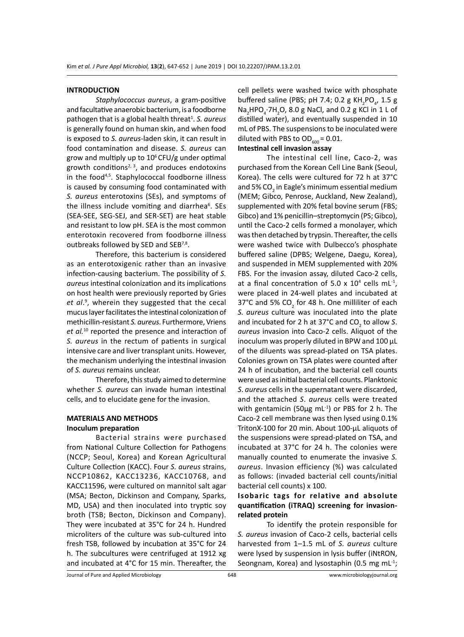#### **INTRODUCTION**

*Staphylococcus aureus*, a gram-positive and facultative anaerobic bacterium, is a foodborne pathogen that is a global health threat<sup>1</sup>. S. aureus is generally found on human skin, and when food is exposed to *S. aureus*-laden skin, it can result in food contamination and disease. *S. aureus* can grow and multiply up to  $10^6$  CFU/g under optimal growth conditions<sup>2, 3</sup>, and produces endotoxins in the food<sup>4,5</sup>. Staphylococcal foodborne illness is caused by consuming food contaminated with *S. aureus* enterotoxins (SEs), and symptoms of the illness include vomiting and diarrhea<sup>6</sup>. SEs (SEA-SEE, SEG-SEJ, and SER-SET) are heat stable and resistant to low pH. SEA is the most common enterotoxin recovered from foodborne illness outbreaks followed by SED and SEB<sup>7,8</sup>.

Therefore, this bacterium is considered as an enterotoxigenic rather than an invasive infection-causing bacterium. The possibility of *S. aureus* intestinal colonization and its implications on host health were previously reported by Gries et al.<sup>9</sup>, wherein they suggested that the cecal mucus layer facilitates the intestinal colonization of methicillin-resistant *S. aureus*. Furthermore, Vriens *et al.*<sup>10</sup> reported the presence and interaction of *S. aureus* in the rectum of patients in surgical intensive care and liver transplant units. However, the mechanism underlying the intestinal invasion of *S. aureus* remains unclear.

Therefore, this study aimed to determine whether *S. aureus* can invade human intestinal cells, and to elucidate gene for the invasion.

# **MATERIALS AND METHODS Inoculum preparation**

Bacterial strains were purchased from National Culture Collection for Pathogens (NCCP; Seoul, Korea) and Korean Agricultural Culture Collection (KACC). Four *S. aureus* strains, NCCP10862, KACC13236, KACC10768, and KACC11596, were cultured on mannitol salt agar (MSA; Becton, Dickinson and Company, Sparks, MD, USA) and then inoculated into tryptic soy broth (TSB; Becton, Dickinson and Company). They were incubated at 35°C for 24 h. Hundred microliters of the culture was sub-cultured into fresh TSB, followed by incubation at 35°C for 24 h. The subcultures were centrifuged at 1912 xg and incubated at 4°C for 15 min. Thereafter, the cell pellets were washed twice with phosphate buffered saline (PBS; pH 7.4; 0.2 g KH<sub>2</sub>PO<sub>4</sub>, 1.5 g  $\textsf{Na}_2\textsf{HPO}_4\textsf{-}7\textsf{H}_2\textsf{O}$ , 8.0 g NaCl, and 0.2 g KCl in 1 L of distilled water), and eventually suspended in 10 mL of PBS. The suspensions to be inoculated were diluted with PBS to  $OD_{600} = 0.01$ .

#### **Intestinal cell invasion assay**

The intestinal cell line, Caco-2, was purchased from the Korean Cell Line Bank (Seoul, Korea). The cells were cultured for 72 h at 37°C and 5% CO $_{_2}$  in Eagle's minimum essential medium (MEM; Gibco, Penrose, Auckland, New Zealand), supplemented with 20% fetal bovine serum (FBS; Gibco) and 1% penicillin–streptomycin (PS; Gibco), until the Caco-2 cells formed a monolayer, which was then detached by trypsin. Thereafter, the cells were washed twice with Dulbecco's phosphate buffered saline (DPBS; Welgene, Daegu, Korea), and suspended in MEM supplemented with 20% FBS. For the invasion assay, diluted Caco-2 cells, at a final concentration of  $5.0 \times 10^4$  cells mL<sup>-1</sup>, were placed in 24-well plates and incubated at 37°C and 5% CO<sub>2</sub> for 48 h. One milliliter of each *S. aureus* culture was inoculated into the plate and incubated for 2 h at 37°C and  $CO_2$  to allow S. *aureus* invasion into Caco-2 cells. Aliquot of the inoculum was properly diluted in BPW and 100 µL of the diluents was spread-plated on TSA plates. Colonies grown on TSA plates were counted after 24 h of incubation, and the bacterial cell counts were used as initial bacterial cell counts. Planktonic *S*. *aureus* cells in the supernatant were discarded, and the attached *S*. *aureus* cells were treated with gentamicin (50 $\mu$ g mL<sup>-1</sup>) or PBS for 2 h. The Caco-2 cell membrane was then lysed using 0.1% TritonX-100 for 20 min. About 100-µL aliquots of the suspensions were spread-plated on TSA, and incubated at 37°C for 24 h. The colonies were manually counted to enumerate the invasive *S. aureus*. Invasion efficiency (%) was calculated as follows: (invaded bacterial cell counts/initial bacterial cell counts) x 100.

# **Isobaric tags for relative and absolute quantification (iTRAQ) screening for invasionrelated protein**

To identify the protein responsible for *S. aureus* invasion of Caco-2 cells, bacterial cells harvested from 1–1.5 mL of *S. aureus* culture were lysed by suspension in lysis buffer (iNtRON, Seongnam, Korea) and lysostaphin (0.5 mg mL $^{-1}$ ;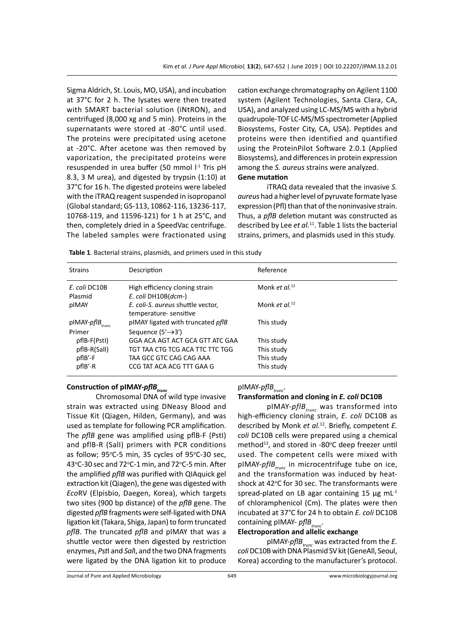Sigma Aldrich, St. Louis, MO, USA), and incubation at 37°C for 2 h. The lysates were then treated with SMART bacterial solution (iNtRON), and centrifuged (8,000 xg and 5 min). Proteins in the supernatants were stored at -80°C until used. The proteins were precipitated using acetone at -20°C. After acetone was then removed by vaporization, the precipitated proteins were resuspended in urea buffer (50 mmol l<sup>-1</sup> Tris pH 8.3, 3 M urea), and digested by trypsin (1:10) at 37°C for 16 h. The digested proteins were labeled with the iTRAQ reagent suspended in isopropanol (Global standard; GS-113, 10862-116, 13236-117, 10768-119, and 11596-121) for 1 h at 25°C, and then, completely dried in a SpeedVac centrifuge. The labeled samples were fractionated using cation exchange chromatography on Agilent 1100 system (Agilent Technologies, Santa Clara, CA, USA), and analyzed using LC-MS/MS with a hybrid quadrupole-TOF LC-MS/MS spectrometer (Applied Biosystems, Foster City, CA, USA). Peptides and proteins were then identified and quantified using the ProteinPilot Software 2.0.1 (Applied Biosystems), and differences in protein expression among the *S. aureus* strains were analyzed. **Gene mutation**

iTRAQ data revealed that the invasive *S. aureus* had a higher level of pyruvate formate lyase expression (Pfl) than that of the noninvasive strain. Thus, a *pflB* deletion mutant was constructed as described by Lee *et al.*<sup>11</sup>. Table 1 lists the bacterial strains, primers, and plasmids used in this study.

| <b>Strains</b>                               | Description                                                                | Reference           |
|----------------------------------------------|----------------------------------------------------------------------------|---------------------|
| E. coli DC10B<br>Plasmid                     | High efficiency cloning strain<br>E. coli DH10B(dcm-)                      | Monk et $al^{12}$   |
| pIMAY                                        | E. coli-S. aureus shuttle vector,<br>temperature-sensitive                 | Monk et al. $^{12}$ |
| $pIMAY\text{-}pfIB_{\text{trunc}}$<br>Primer | pIMAY ligated with truncated <i>pfIB</i><br>Sequence $(5' \rightarrow 3')$ | This study          |
| pflB-F(PstI)                                 | GGA ACA AGT ACT GCA GTT ATC GAA                                            | This study          |
| $pfIB-R(Sall)$                               | TGT TAA CTG TCG ACA TTC TTC TGG                                            | This study          |
| $pflB'-F$                                    | TAA GCC GTC CAG CAG AAA                                                    | This study          |
| $pflB' - R$                                  | CCG TAT ACA ACG TTT GAA G                                                  | This study          |

**Table 1**. Bacterial strains, plasmids, and primers used in this study

# **Construction of pIMAY-***pflBtrunc*

Chromosomal DNA of wild type invasive strain was extracted using DNeasy Blood and Tissue Kit (Qiagen, Hilden, Germany), and was used as template for following PCR amplification. The *pflB* gene was amplified using pflB-F (PstI) and pflB-R (SalI) primers with PCR conditions as follow; 95°C-5 min, 35 cycles of 95°C-30 sec, 43°C-30 sec and 72°C-1 min, and 72°C-5 min. After the amplified *pflB* was purified with QIAquick gel extraction kit (Qiagen), the gene was digested with *Eco*RV (Elpisbio, Daegen, Korea), which targets two sites (900 bp distance) of the *pflB* gene. The digested *pflB* fragments were self-ligated with DNA ligation kit (Takara, Shiga, Japan) to form truncated *pflB*. The truncated *pflB* and pIMAY that was a shuttle vector were then digested by restriction enzymes, *Pst*I and *Sal*I, and the two DNA fragments were ligated by the DNA ligation kit to produce

# pIMAY-*pflBtrunc*.

# **Transformation and cloning in** *E. coli* **DC10B**

pIMAY-*pflBtrunc* was transformed into high-efficiency cloning strain, *E. coli* DC10B as described by Monk *et al.*<sup>12</sup>. Briefly, competent *E. coli* DC10B cells were prepared using a chemical method<sup>13</sup>, and stored in -80°C deep freezer until used. The competent cells were mixed with pIMAY-*pflBtrunc* in microcentrifuge tube on ice, and the transformation was induced by heatshock at 42°C for 30 sec. The transformants were spread-plated on LB agar containing 15  $\mu$ g mL<sup>-1</sup> of chloramphenicol (Cm). The plates were then incubated at 37°C for 24 h to obtain *E. coli* DC10B containing pIMAY- *pflBtrunc*.

# **Electroporation and allelic exchange**

pIMAY-*pflBtrunc* was extracted from the *E. coli* DC10B with DNA Plasmid SV kit (GeneAll, Seoul, Korea) according to the manufacturer's protocol.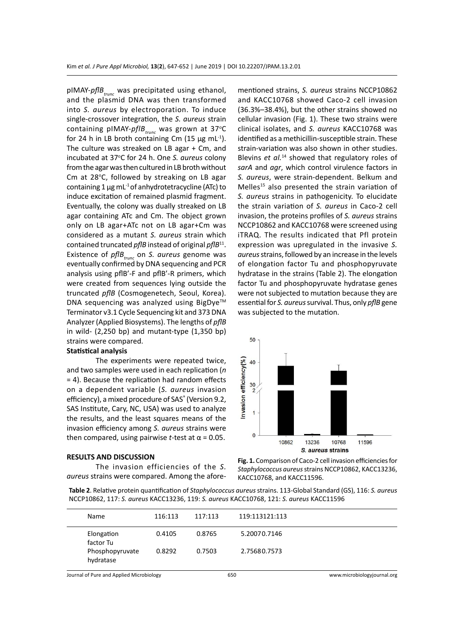pIMAY-*pflBtrunc* was precipitated using ethanol, and the plasmid DNA was then transformed into *S. aureus* by electroporation. To induce single-crossover integration, the *S. aureus* strain containing pIMAY-*pflB*<sub>trunc</sub> was grown at 37°C for 24 h in LB broth containing Cm (15  $\mu$ g mL<sup>-1</sup>). The culture was streaked on LB agar + Cm, and incubated at 37°C for 24 h. One S. aureus colony from the agar was then cultured in LB broth without Cm at 28°C, followed by streaking on LB agar containing 1  $\mu$ g mL<sup>-1</sup> of anhydrotetracycline (ATc) to induce excitation of remained plasmid fragment. Eventually, the colony was dually streaked on LB agar containing ATc and Cm. The object grown only on LB agar+ATc not on LB agar+Cm was considered as a mutant *S. aureus* strain which contained truncated *pflB* instead of original *pflB*11. Existence of *pflBtrunc* on *S. aureus* genome was eventually confirmed by DNA sequencing and PCR analysis using pflB'-F and pflB'-R primers, which were created from sequences lying outside the truncated *pflB* (Cosmogenetech, Seoul, Korea). DNA sequencing was analyzed using BigDye<sup>TM</sup> Terminator v3.1 Cycle Sequencing kit and 373 DNA Analyzer (Applied Biosystems). The lengths of *pflB* in wild- (2,250 bp) and mutant-type (1,350 bp) strains were compared.

# **Statistical analysis**

The experiments were repeated twice, and two samples were used in each replication (*n*  = 4). Because the replication had random effects on a dependent variable (*S. aureus* invasion efficiency), a mixed procedure of SAS<sup>®</sup> (Version 9.2, SAS Institute, Cary, NC, USA) was used to analyze the results, and the least squares means of the invasion efficiency among *S. aureus* strains were then compared, using pairwise  $t$ -test at  $\alpha$  = 0.05.

#### **RESULTS AND DISCUSSION**

The invasion efficiencies of the *S. aureus* strains were compared. Among the aforementioned strains, *S. aureus* strains NCCP10862 and KACC10768 showed Caco-2 cell invasion (36.3%–38.4%), but the other strains showed no cellular invasion (Fig. 1). These two strains were clinical isolates, and *S. aureus* KACC10768 was identified as a methicillin-susceptible strain. These strain-variation was also shown in other studies. Blevins *et al.*14 showed that regulatory roles of *sarA* and *agr*, which control virulence factors in *S. aureus*, were strain-dependent. Belkum and Melles<sup>15</sup> also presented the strain variation of *S. aureus* strains in pathogenicity. To elucidate the strain variation of *S. aureus* in Caco-2 cell invasion, the proteins profiles of *S. aureus* strains NCCP10862 and KACC10768 were screened using iTRAQ. The results indicated that Pfl protein expression was upregulated in the invasive *S. aureus* strains, followed by an increase in the levels of elongation factor Tu and phosphopyruvate hydratase in the strains (Table 2). The elongation factor Tu and phosphopyruvate hydratase genes were not subjected to mutation because they are essential for *S. aureus* survival. Thus, only *pflB* gene was subjected to the mutation.



**Fig. 1.** Comparison of Caco-2 cell invasion efficiencies for *Staphylococcus aureus* strains NCCP10862, KACC13236, KACC10768, and KACC11596.

**Table 2**. Relative protein quantification of *Staphylococcus aureus* strains. 113-Global Standard (GS), 116: *S. aureus* NCCP10862, 117: *S. aureus* KACC13236, 119: *S. aureus* KACC10768, 121: *S. aureus* KACC11596

| Name                         | 116:113 | 117:113 | 119:113121:113 |
|------------------------------|---------|---------|----------------|
| Elongation<br>factor Tu      | 0.4105  | 0.8765  | 5.20070.7146   |
| Phosphopyruvate<br>hydratase | 0.8292  | 0.7503  | 2.75680.7573   |

Journal of Pure and Applied Microbiology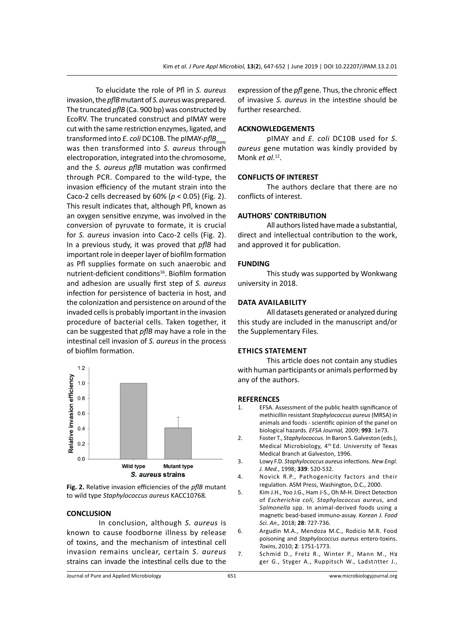To elucidate the role of Pfl in *S. aureus* invasion, the*pflB*mutant of *S. aureus* was prepared. The truncated *pflB* (Ca. 900 bp) was constructed by EcoRV. The truncated construct and pIMAY were cut with the same restriction enzymes, ligated, and transformed into *E. coli* DC10B. The pIMAY-*pflBtrunc* was then transformed into *S. aureus* through electroporation, integrated into the chromosome, and the *S. aureus pflB* mutation was confirmed through PCR. Compared to the wild-type, the invasion efficiency of the mutant strain into the Caco-2 cells decreased by 60% (*p* < 0.05) (Fig. 2). This result indicates that, although Pfl, known as an oxygen sensitive enzyme, was involved in the conversion of pyruvate to formate, it is crucial for *S. aureus* invasion into Caco-2 cells (Fig. 2). In a previous study, it was proved that *pflB* had important role in deeper layer of biofilm formation as Pfl supplies formate on such anaerobic and nutrient-deficient conditions<sup>16</sup>. Biofilm formation and adhesion are usually first step of *S. aureus*  infection for persistence of bacteria in host, and the colonization and persistence on around of the invaded cells is probably important in the invasion procedure of bacterial cells. Taken together, it can be suggested that *pflB* may have a role in the intestinal cell invasion of *S. aureus* in the process of biofilm formation.



**Fig. 2.** Relative invasion efficiencies of the *pflB* mutant to wild type *Staphylococcus aureus* KACC10768.

# **CONCLUSION**

 In conclusion, although *S. aureus* is known to cause foodborne illness by release of toxins, and the mechanism of intestinal cell invasion remains unclear, certain *S. aureus* strains can invade the intestinal cells due to the expression of the *pfl* gene. Thus, the chronic effect of invasive *S. aureus* in the intestine should be further researched.

# **ACKNOWLEDGEMENTS**

pIMAY and *E. coli* DC10B used for *S. aureus* gene mutation was kindly provided by Monk *et al*. 12.

# **CONFLICTS OF INTEREST**

The authors declare that there are no conflicts of interest.

#### **AUTHORS' CONTRIBUTION**

All authors listed have made a substantial, direct and intellectual contribution to the work, and approved it for publication.

#### **FUNDING**

This study was supported by Wonkwang university in 2018.

## **Data availability**

All datasets generated or analyzed during this study are included in the manuscript and/or the Supplementary Files.

### **Ethics Statement**

This article does not contain any studies with human participants or animals performed by any of the authors.

#### **REFERENCES**

- EFSA. Assessment of the public health significance of methicillin resistant *Staphylococcus aureus* (MRSA) in animals and foods - scientific opinion of the panel on biological hazards. *EFSA Journal,* 2009; **993**: 1e73.
- 2. Foster T., *Staphylococcus*. In Baron S. Galveston (eds.), Medical Microbiology, 4<sup>th</sup> Ed. University of Texas Medical Branch at Galveston, 1996.
- 3. Lowy F.D. *Staphylococcus aureus* infections. *New Engl. J. Med.*, 1998; **339**: 520-532.
- 4. Novick R.P., Pathogenicity factors and their regulation. ASM Press, Washington, D.C., 2000.
- 5. Kim J.H., Yoo J.G., Ham J-S., Oh M-H. Direct Detection of *Escherichia coli, Staphylococcus aureus,* and *Salmonella* spp. In animal-derived foods using a magnetic bead-based immuno-assay. *Korean J. Food Sci. An.,* 2018; **28**: 727-736.
- 6. Argudin M.A., Mendoza M.C., Rodicio M.R. Food poisoning and *Staphylococcus aureus* entero-toxins. *Toxins*, 2010; **2**: 1751-1773.
- 7. Schmid D., Fretz R., Winter P., Mann M., Hצ ger G., Styger A., Ruppitsch W., Ladstהtter J.,